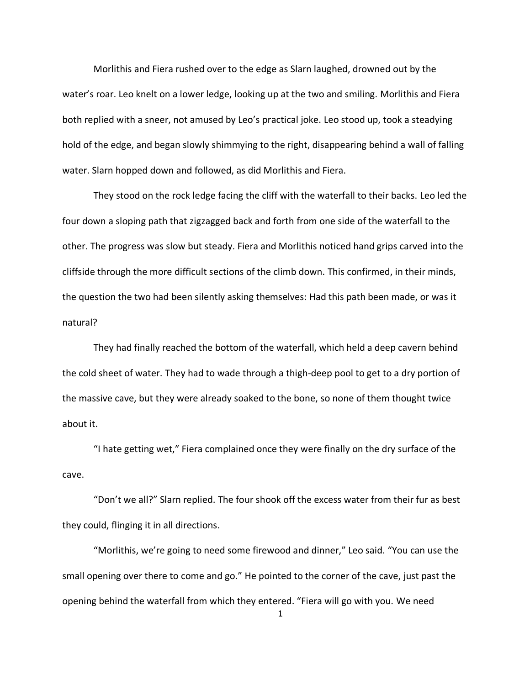Morlithis and Fiera rushed over to the edge as Slarn laughed, drowned out by the water's roar. Leo knelt on a lower ledge, looking up at the two and smiling. Morlithis and Fiera both replied with a sneer, not amused by Leo's practical joke. Leo stood up, took a steadying hold of the edge, and began slowly shimmying to the right, disappearing behind a wall of falling water. Slarn hopped down and followed, as did Morlithis and Fiera.

They stood on the rock ledge facing the cliff with the waterfall to their backs. Leo led the four down a sloping path that zigzagged back and forth from one side of the waterfall to the other. The progress was slow but steady. Fiera and Morlithis noticed hand grips carved into the cliffside through the more difficult sections of the climb down. This confirmed, in their minds, the question the two had been silently asking themselves: Had this path been made, or was it natural?

They had finally reached the bottom of the waterfall, which held a deep cavern behind the cold sheet of water. They had to wade through a thigh-deep pool to get to a dry portion of the massive cave, but they were already soaked to the bone, so none of them thought twice about it.

"I hate getting wet," Fiera complained once they were finally on the dry surface of the cave.

"Don't we all?" Slarn replied. The four shook off the excess water from their fur as best they could, flinging it in all directions.

"Morlithis, we're going to need some firewood and dinner," Leo said. "You can use the small opening over there to come and go." He pointed to the corner of the cave, just past the opening behind the waterfall from which they entered. "Fiera will go with you. We need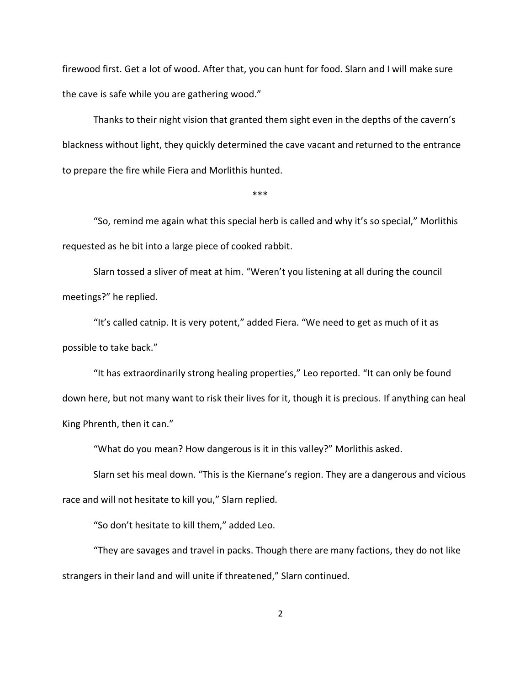firewood first. Get a lot of wood. After that, you can hunt for food. Slarn and I will make sure the cave is safe while you are gathering wood."

Thanks to their night vision that granted them sight even in the depths of the cavern's blackness without light, they quickly determined the cave vacant and returned to the entrance to prepare the fire while Fiera and Morlithis hunted.

 $***$ 

"So, remind me again what this special herb is called and why it's so special," Morlithis requested as he bit into a large piece of cooked rabbit.

Slarn tossed a sliver of meat at him. "Weren't you listening at all during the council meetings?" he replied.

"It's called catnip. It is very potent," added Fiera. "We need to get as much of it as possible to take back."

"It has extraordinarily strong healing properties," Leo reported. "It can only be found down here, but not many want to risk their lives for it, though it is precious. If anything can heal King Phrenth, then it can."

"What do you mean? How dangerous is it in this valley?" Morlithis asked.

Slarn set his meal down. "This is the Kiernane's region. They are a dangerous and vicious race and will not hesitate to kill you," Slarn replied.

"So don't hesitate to kill them," added Leo.

"They are savages and travel in packs. Though there are many factions, they do not like strangers in their land and will unite if threatened," Slarn continued.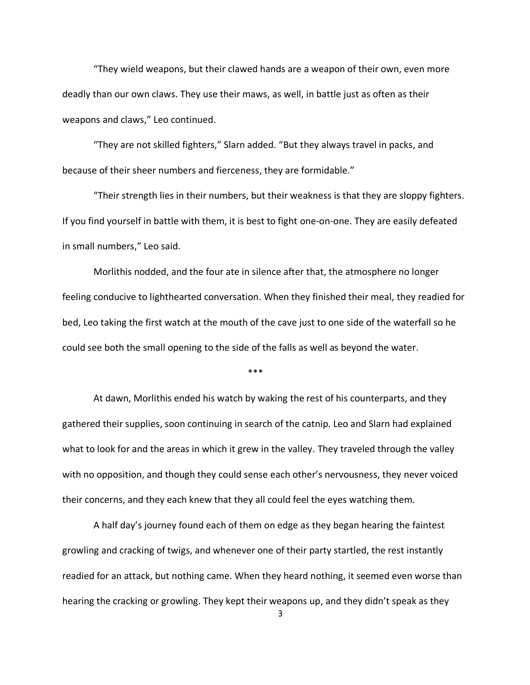"They wield weapons, but their clawed hands are a weapon of their own, even more deadly than our own claws. They use their maws, as well, in battle just as often as their weapons and claws," Leo continued.

"They are not skilled fighters," Slarn added. "But they always travel in packs, and because of their sheer numbers and fierceness, they are formidable."

"Their strength lies in their numbers, but their weakness is that they are sloppy fighters. If you find yourself in battle with them, it is best to fight one-on-one. They are easily defeated in small numbers," Leo said.

Morlithis nodded, and the four ate in silence after that, the atmosphere no longer feeling conducive to lighthearted conversation. When they finished their meal, they readied for bed, Leo taking the first watch at the mouth of the cave just to one side of the waterfall so he could see both the small opening to the side of the falls as well as beyond the water.

 $***$ 

At dawn, Morlithis ended his watch by waking the rest of his counterparts, and they gathered their supplies, soon continuing in search of the catnip. Leo and Slarn had explained what to look for and the areas in which it grew in the valley. They traveled through the valley with no opposition, and though they could sense each other's nervousness, they never voiced their concerns, and they each knew that they all could feel the eyes watching them.

A half day's journey found each of them on edge as they began hearing the faintest growling and cracking of twigs, and whenever one of their party startled, the rest instantly readied for an attack, but nothing came. When they heard nothing, it seemed even worse than hearing the cracking or growling. They kept their weapons up, and they didn't speak as they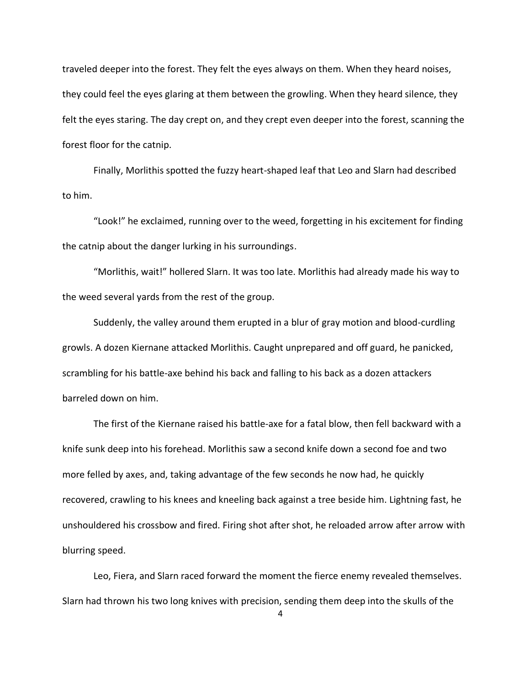traveled deeper into the forest. They felt the eyes always on them. When they heard noises, they could feel the eyes glaring at them between the growling. When they heard silence, they felt the eyes staring. The day crept on, and they crept even deeper into the forest, scanning the forest floor for the catnip.

Finally, Morlithis spotted the fuzzy heart-shaped leaf that Leo and Slarn had described to him.

"Look!" he exclaimed, running over to the weed, forgetting in his excitement for finding the catnip about the danger lurking in his surroundings.

"Morlithis, wait!" hollered Slarn. It was too late. Morlithis had already made his way to the weed several yards from the rest of the group.

Suddenly, the valley around them erupted in a blur of gray motion and blood-curdling growls. A dozen Kiernane attacked Morlithis. Caught unprepared and off guard, he panicked, scrambling for his battle-axe behind his back and falling to his back as a dozen attackers barreled down on him.

The first of the Kiernane raised his battle-axe for a fatal blow, then fell backward with a knife sunk deep into his forehead. Morlithis saw a second knife down a second foe and two more felled by axes, and, taking advantage of the few seconds he now had, he quickly recovered, crawling to his knees and kneeling back against a tree beside him. Lightning fast, he unshouldered his crossbow and fired. Firing shot after shot, he reloaded arrow after arrow with blurring speed.

Leo, Fiera, and Slarn raced forward the moment the fierce enemy revealed themselves. Slarn had thrown his two long knives with precision, sending them deep into the skulls of the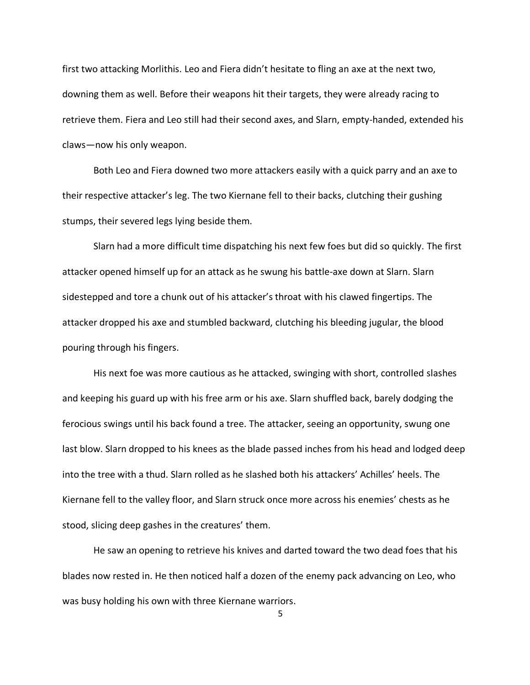first two attacking Morlithis. Leo and Fiera didn't hesitate to fling an axe at the next two, downing them as well. Before their weapons hit their targets, they were already racing to retrieve them. Fiera and Leo still had their second axes, and Slarn, empty-handed, extended his claws—now his only weapon.

Both Leo and Fiera downed two more attackers easily with a quick parry and an axe to their respective attacker's leg. The two Kiernane fell to their backs, clutching their gushing stumps, their severed legs lying beside them.

Slarn had a more difficult time dispatching his next few foes but did so quickly. The first attacker opened himself up for an attack as he swung his battle-axe down at Slarn. Slarn sidestepped and tore a chunk out of his attacker's throat with his clawed fingertips. The attacker dropped his axe and stumbled backward, clutching his bleeding jugular, the blood pouring through his fingers.

His next foe was more cautious as he attacked, swinging with short, controlled slashes and keeping his guard up with his free arm or his axe. Slarn shuffled back, barely dodging the ferocious swings until his back found a tree. The attacker, seeing an opportunity, swung one last blow. Slarn dropped to his knees as the blade passed inches from his head and lodged deep into the tree with a thud. Slarn rolled as he slashed both his attackers' Achilles' heels. The Kiernane fell to the valley floor, and Slarn struck once more across his enemies' chests as he stood, slicing deep gashes in the creatures' them.

He saw an opening to retrieve his knives and darted toward the two dead foes that his blades now rested in. He then noticed half a dozen of the enemy pack advancing on Leo, who was busy holding his own with three Kiernane warriors.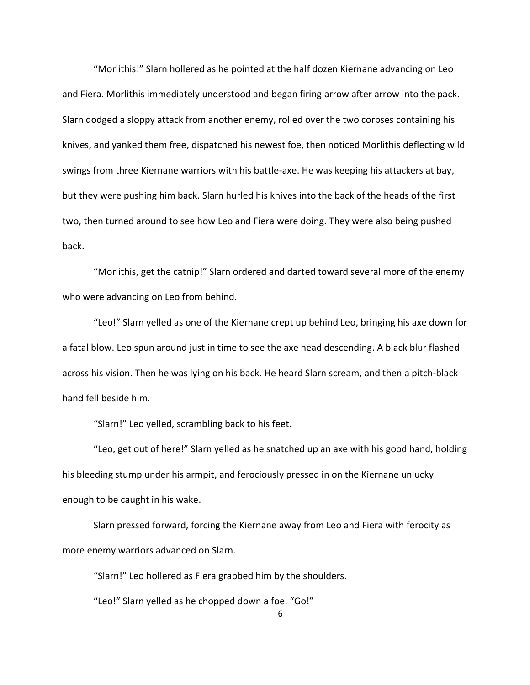"Morlithis!" Slarn hollered as he pointed at the half dozen Kiernane advancing on Leo and Fiera. Morlithis immediately understood and began firing arrow after arrow into the pack. Slarn dodged a sloppy attack from another enemy, rolled over the two corpses containing his knives, and yanked them free, dispatched his newest foe, then noticed Morlithis deflecting wild swings from three Kiernane warriors with his battle-axe. He was keeping his attackers at bay, but they were pushing him back. Slarn hurled his knives into the back of the heads of the first two, then turned around to see how Leo and Fiera were doing. They were also being pushed back.

"Morlithis, get the catnip!" Slarn ordered and darted toward several more of the enemy who were advancing on Leo from behind.

"Leo!" Slarn yelled as one of the Kiernane crept up behind Leo, bringing his axe down for a fatal blow. Leo spun around just in time to see the axe head descending. A black blur flashed across his vision. Then he was lying on his back. He heard Slarn scream, and then a pitch-black hand fell beside him.

"Slarn!" Leo yelled, scrambling back to his feet.

"Leo, get out of here!" Slarn yelled as he snatched up an axe with his good hand, holding his bleeding stump under his armpit, and ferociously pressed in on the Kiernane unlucky enough to be caught in his wake.

Slarn pressed forward, forcing the Kiernane away from Leo and Fiera with ferocity as more enemy warriors advanced on Slarn.

"Slarn!" Leo hollered as Fiera grabbed him by the shoulders.

"Leo!" Slarn yelled as he chopped down a foe. "Go!"